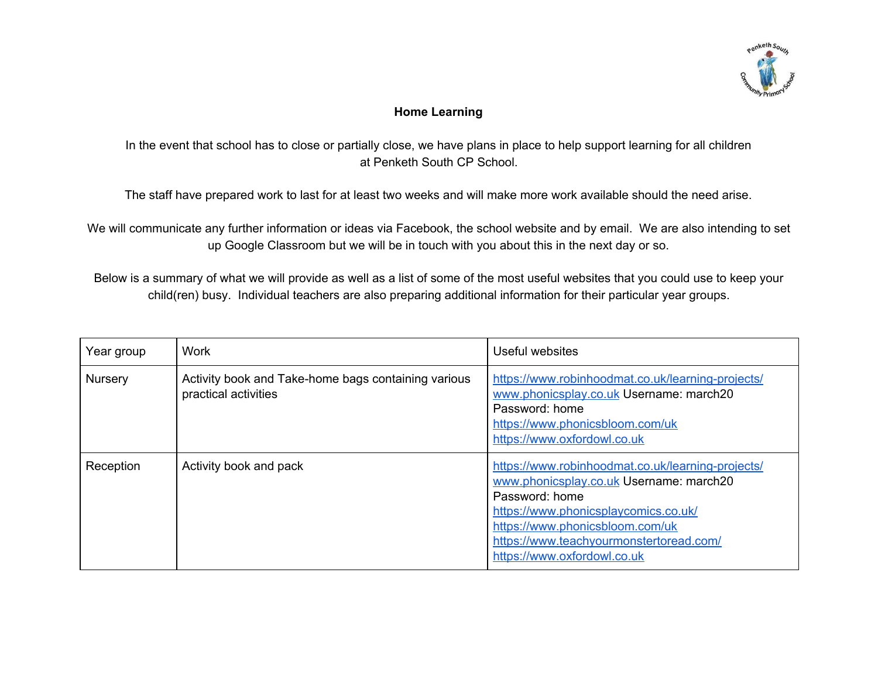

## **Home Learning**

In the event that school has to close or partially close, we have plans in place to help support learning for all children at Penketh South CP School.

The staff have prepared work to last for at least two weeks and will make more work available should the need arise.

We will communicate any further information or ideas via Facebook, the school website and by email. We are also intending to set up Google Classroom but we will be in touch with you about this in the next day or so.

Below is a summary of what we will provide as well as a list of some of the most useful websites that you could use to keep your child(ren) busy. Individual teachers are also preparing additional information for their particular year groups.

| Year group     | <b>Work</b>                                                                 | Useful websites                                                                                                                                                                                                                                                     |
|----------------|-----------------------------------------------------------------------------|---------------------------------------------------------------------------------------------------------------------------------------------------------------------------------------------------------------------------------------------------------------------|
| <b>Nursery</b> | Activity book and Take-home bags containing various<br>practical activities | https://www.robinhoodmat.co.uk/learning-projects/<br>www.phonicsplay.co.uk Username: march20<br>Password: home<br>https://www.phonicsbloom.com/uk<br>https://www.oxfordowl.co.uk                                                                                    |
| Reception      | Activity book and pack                                                      | https://www.robinhoodmat.co.uk/learning-projects/<br>www.phonicsplay.co.uk Username: march20<br>Password: home<br>https://www.phonicsplaycomics.co.uk/<br>https://www.phonicsbloom.com/uk<br>https://www.teachyourmonstertoread.com/<br>https://www.oxfordowl.co.uk |